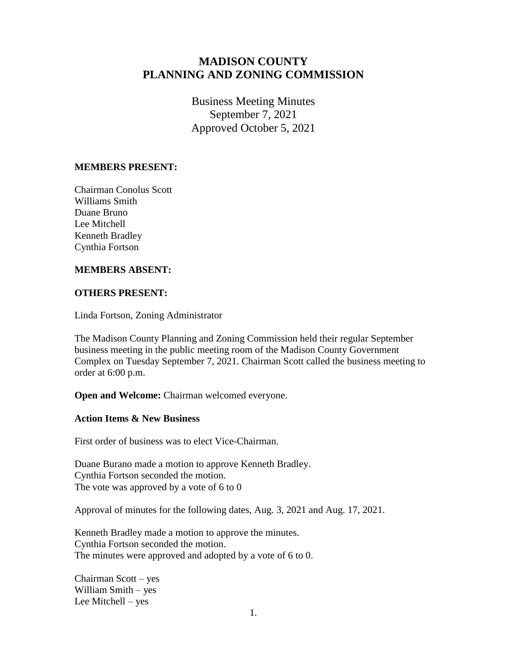# **MADISON COUNTY PLANNING AND ZONING COMMISSION**

Business Meeting Minutes September 7, 2021 Approved October 5, 2021

## **MEMBERS PRESENT:**

Chairman Conolus Scott Williams Smith Duane Bruno Lee Mitchell Kenneth Bradley Cynthia Fortson

### **MEMBERS ABSENT:**

#### **OTHERS PRESENT:**

Linda Fortson, Zoning Administrator

The Madison County Planning and Zoning Commission held their regular September business meeting in the public meeting room of the Madison County Government Complex on Tuesday September 7, 2021. Chairman Scott called the business meeting to order at 6:00 p.m.

**Open and Welcome:** Chairman welcomed everyone.

### **Action Items & New Business**

First order of business was to elect Vice-Chairman.

Duane Burano made a motion to approve Kenneth Bradley. Cynthia Fortson seconded the motion. The vote was approved by a vote of 6 to 0

Approval of minutes for the following dates, Aug. 3, 2021 and Aug. 17, 2021.

Kenneth Bradley made a motion to approve the minutes. Cynthia Fortson seconded the motion. The minutes were approved and adopted by a vote of 6 to 0.

Chairman Scott – yes William Smith – yes Lee Mitchell – yes